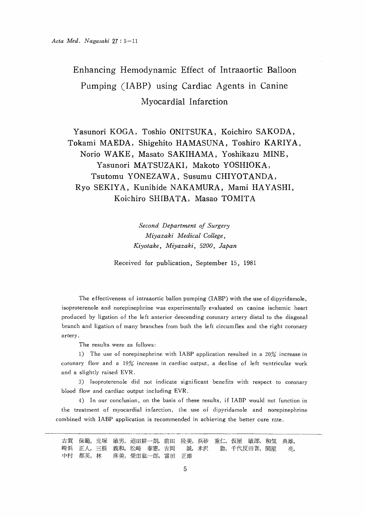# Enhancing Hemodynamic Effect of Intraaortic Balloon Pumping (IABP) using Cardiac Agents in Canine Myocardial Infarction

 Yasunori KOGA, Toshio ONITSUKA, Koichiro SAKODA, Tokami MAEDA, Shigehito HAMASUNA, Toshiro KARIYA, Norio WAKE, Masato SAKIHAMA, Yoshikazu MINE, Yasunori MATSUZAKI, Makoto YOSHIOKA, Tsutomu YONEZAWA, Susumu CHIYOTANDA, Ryo SEKIYA, Kunihide NAKAMURA, Mami HAYASHI, Koichiro SHIBATA, Masao TOMITA

> Second Department of Surgery Miyazaki Medical College, Kiyotake, Miyazaki, 5200, Japan

Received for publication, September 15, 1981

 The effectiveness of intraaortic ballon pumping (IABP) with the use of dipyridamole, isoproterenole and norepinephrine was experimentally evaluated on canine ischemic heart produced by ligation of the left anterior descending coronary artery distal to the diagonal branch and ligation of many branches from both the left circumflex and the right coronary artery.

The results were as follows:

1) The use of norepinephrine with IABP application resulted in a 20% increase in coronary flow and a 19% increase in cardiac output, a decline of left ventricular work and a slightly raised EVR.

3) Isoproterenole did not indicate significant benefits with respect to coronary blood flow and cardiac output including EVR.

4) In our conclusion, on the basis of these results, if IABP would not function in the treatment of myocardial infarction, the use of dipyridamole and norepinephrine combined with IABP application is recommended in achieving the better cure rate.

古賀 保範,鬼塚 敏男,迫田耕一朗,前田 隆美,浜砂 重仁,仮屋 敏郎,和気 典雄, 崎浜 正人,三根 義和,松崎 泰憲,吉岡 誠,米沢 勤,千代反田晋,関屋 亮, 中村 都英, 林 麻美, 柴田紘一郎, 富田 正雄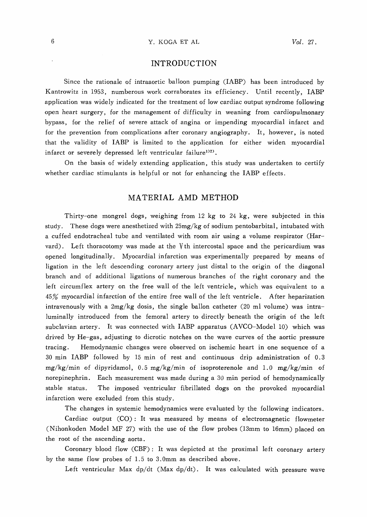# INTRODUCTION

Since the rationale of intraaortic balloon pumping (IABP) has been introduced by Kantrowitz in 1953, numberous work corraborates its efficiency. Until recently, IABP application was widely indicated for the treatment of low cardiac output syndrome following open heart surgery, for the management of difficulty in weaning from cardiopulmonary bypass, for the relief of severe attack of angina or impending myocardial infarct and for the prevention from complications after coronary angiography. It, however, is noted that the validity of IABP is limited to the application for either widen myocardial infarct or severely depressed left ventricular failure<sup>1)2)</sup>.

On the basis of widely extending application, this study was undertaken to certify whether cardiac stimulants is helpful or not for enhancing the IABP effects.

# MATERIAL AMD METHOD

Thirty-one mongrel dogs, weighing from 12 kg to 24 kg, were subjected in this study. These dogs were anesthetized with  $25mg/kg$  of sodium pentobarbital, intubated with a cuffed endotracheal tube and ventilated with room air using a volume respirator (Harvard). Left thoracotomy was made at the  $\gamma$ th intercostal space and the pericardium was opened longitudinally. Myocardial infarction was experimentally prepared by means of ligation in the left descending coronary artery just distal to the origin of the diagonal branch and of additional ligations of numerous branches of the right coronary and the left circumflex artery on the free wall of the left ventricle, which was equivalent to a  $45\%$  myocardial infarction of the entire free wall of the left ventricle. After heparization intravenously with a  $2mg/kg$  dosis, the single ballon catheter (20 ml volume) was intra luminally introduced from the femoral artery to directly beneath the origin of the left subclavian artery. It was connected with IABP apparatus (AVCO-Model 10) which was drived by He-gas, adjusting to dicrotic notches on the wave curves of the aortic pressure tracing. Hemodynamic changes were observed on ischemic heart in one sequence of a 30min IABP followed by 15min of rest and continuous drip administration of O.3 mg/kg/min of dipyridamo1,0。5mg/kg/min of isoproterenole and1.O mg/kg/min of norepinephrin. Each measurement was made during a30min period of hemodynamically stable status. The imposed ventricular fibrillated dogs on the provoked myocardial infarction were excluded from this study.

The changes in systemic hemodynamics were evaluated by the following indicators.

Cardiac output  $(CO)$ : It was measured by means of electromagnetic flowmeter (Nihonkoden Model MF 27) with the use of the flow probes (13mm to 16mm) placed on the root of the ascending aorta。

Coronary blood flow (CBF): It was depicted at the proximal left coronary artery by the same flow probes of 1.5 to 3.0mm as described above.

Left ventricular Max  $dp/dt$  (Max  $dp/dt$ ). It was calculated with pressure wave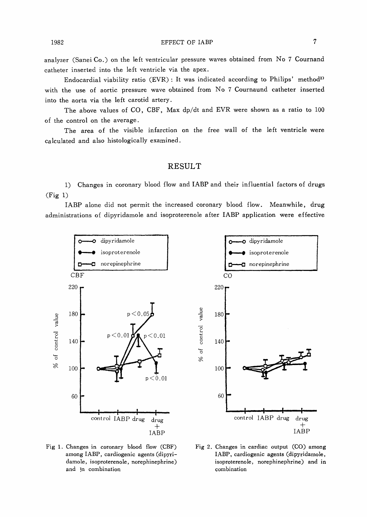analyzer (Sanei Co.) on the left ventricular pressure waves obtained from No 7 Cournand catheter inserted into the left ventricle via the apex .

Endocardial viability ratio (EVR) : It was indicated according to Philips' method3) with the use of aortic pressure wave obtained from No 7 Cournaund catheter inserted into the aorta via the left carotid artery .

The above values of CO, CBF, Max dp/dt and EVR were shown as a ratio to 100 of the control on the average .

The area of the visible infarction on the free wall of the left ventricle were calculated and also histologically examined.

### RESULT

1) Changes in coronary blood flow and IABP and their influential factors of drugs  $(Fig 1)$ 

IABP alone did not permit the increased coronary blood flow. Meanwhile, drug administrations of dipyridamole and isoproterenole after IABP application were effective





Fig 1. Changes in coronary blood flow  $(CBF)$  Fig 2. among IABP, cardiogenic agents (dipyridamole, isoproterenole, norephinephrine) and In combination

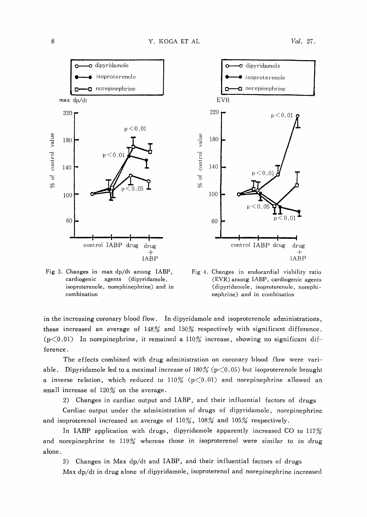



Fig 3. Changes in max dp/dt among IABP, cardiogenic agents (dipyridamole, isoproterenole, norephinephrine) and in combination

Fig 4. Changes in endocardial viability ratio (EVR) among IABP, cardiogenic agents (dipyridamole, isoproterenole, norephinephrine) and in combination

in the increasing coronary blood flow. In dipyridamole and isoproterenole administrations, these increased an average of  $148%$  and  $150%$  respectively with significant difference.  $(p<0.01)$  In norepinephrine, it remained a 110% increase, showing no significant difference .

The effects combined with drug administration on coronary blood flow were variable. Dipyridamole led to a maximal increase of  $180%$  (p $\lt$ 0.05) but isoproterenole brought a inverse relation, which reduced to  $110\%$  (p $\leq$ 0.01) and norepinephrine allowed an small increase of  $120%$  on the average.

2) Changes in cardiac output and IABP, and their influential factors of drugs

Cardiac output under the administration of drugs of dipyridamole, norepinephrine and isoproterenol increased an average of  $110\%$ ,  $108\%$  and  $105\%$  respectively.

In IABP application with drugs, dipyridamole apparently increased CO to 117% and norepinephrine to 119% whereas those in isoproterenol were similar to in drug alone .

3) Changes in Max dp/dt and IABP, and their influential factors of drugs

Max dp/dt in drug alone of dipyridamole, isoproterenol and norepinephrine increased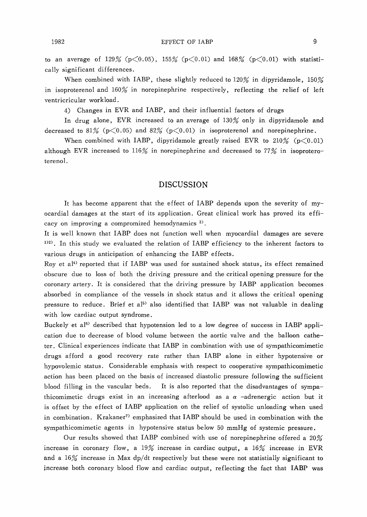to an average of 129% ( $p<0.05$ ), 155% ( $p<0.01$ ) and 168% ( $p<0.01$ ) with statistically significant differences.

When combined with IABP, these slightly reduced to  $120\%$  in dipyridamole,  $150\%$ in isoproterenol and  $160\%$  in norepinephrine respectively, reflecting the relief of left ventricricular workload.

4) Changes in EVR and IABP, and their influential factors of drugs

In drug alone, EVR increased to an average of 130% only in dipyridamole and decreased to 81% ( $p<0.05$ ) and 82% ( $p<0.01$ ) in isoproterenol and norepinephrine.

When combined with IABP, dipyridamole greatly raised EVR to  $210\%$  (p $\leq 0.01$ ) although EVR increased to 116% in norepinephrine and decreased to 77% in isoproteroterenol.

# DISCUSSION

It has become apparent that the effect of IABP depends upon the severity of myocardial damages at the start of its application. Great clinical work has proved its efficacy on improving a compromized hemodynamics<sup>3)</sup>.

It is well known that IABP does not function well when myocardial damages are severe  $122$ ). In this study we evaluated the relation of IABP efficiency to the inherent factors to various drugs in anticipation of enhancing the IABP effects.

Roy et al<sup>4)</sup> reported that if IABP was used for sustained shock status, its effect remained obscure due to loss of both the driving pressure and the critical opening pressure for the coronary artery. It is considered that the driving pressure by IABP application becomes absorbed in compliance of the vessels in shock status and it allows the critical opening pressure to reduce. Brief et al<sup>5)</sup> also identified that IABP was not valuable in dealing with low cardiac output syndrome.

Buckely et al<sup>6)</sup> described that hypotension led to a low degree of success in IABP application due to decrease of blood volume between the aortic valve and the balloon catheter. Clinical experiences indicate that IABP in combination with use of sympathicomimetic drugs afford a good recovery rate rather than IABP alone in either hypotensive or hypovolemic status. Considerable emphasis with respect to cooperative sympathicomimetic action has been placed on the basis of increased diastolic pressure following the sufficient blood filling in the vascular beds. It is also reported that the disadvantages of sympathicomimetic drugs exist in an increasing afterlood as a  $\alpha$  -adrenergic action but it is offset by the effect of IABP application on the relief of systolic unloading when used in combination. Krakaner7) emphasized that IABP should be used in combination with the sympathicomimetic agents in hypotensive status below 50 mmHg of systemic pressure.

Our results showed that IABP combined with use of norepinephrine offered a 20% increase in coronary flow, a 19% increase in cardiac output, a  $16%$  increase in EVR and a  $16\%$  increase in Max dp/dt respectively but these were not statistially significant to increase both coronary blood flow and cardiac output, reflecting the fact that IABP was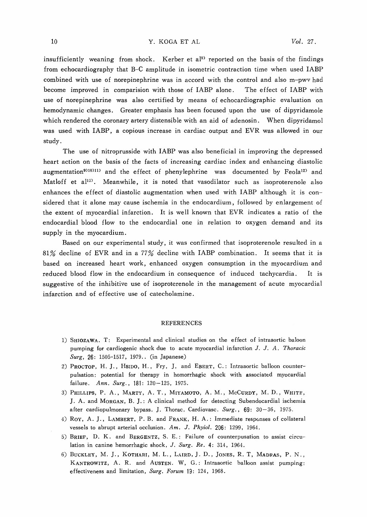insufficiently weaning from shock. Kerber et al<sup>9)</sup> reported on the basis of the findings from echocardiography that B-C amplitude in isometric contraction time when used IABP combined with use of norepinephrine was in accord with the control and also m-pwv had become improved in comparision with those of IABP alone. The effect of IABP with use of norepinephrine was also certified by means of echocardiographic evaluation on hemodynamic changes. Greater emphasis has been focused upon the use of dipyridamole which rendered the coronary artery distensible with an aid of adenosin. When dipyridamol was used with IABP, a copious increase in cardiac output and EVR was allowed in our study .

The use of nitroprusside with IABP was also beneficial in improving the depressed heart action on the basis of the facts of increasing cardiac index and enhancing diastolic augmentation<sup>9)10)11)</sup> and the effect of phenylephrine was documented by Feola<sup>12)</sup> and Matloff et  $a^{12}$ . Meanwhile, it is noted that vasodilator such as isoproterenole also enhances the effect of diastolic augmentation when used with IABP although it is considered that it alone may cause ischemia in the endocardium, followed by enlargement of the extent of myocardial infarction. It is well known that EVR indicates a ratio of the endocardial blood flow to the endocardial one in relation to oxygen demand and its supply in the myocardium.

Based on our experimental study, it was confirmed that isoproterenole resulted in a 81% decline of EVR and in a 77% decline with IABP combination. It seems that it is based on increased heart work, enhanced oxygen consumption in the myocardium and reduced blood flow in the endocardium in consequence of induced tachycardia. It is suggestive of the inhibitive use of isoproterenole in the management of acute myocardial infarction and of effective use of catecholamine.

#### REFERENCES

- 1) SHIOZAWA. T: Experimental and clinical studies on the effect of intraaortic baloon pumping for cardiogenic shock due to acute myocardial infarction J. J. A. Thoracic Surg, 26: 1505-1517, 1979.. (in Japanese)
- 2) PROCTOP, H. J., HSIDO, H., Fry, J, and EBERT, C.: Intraaortic balloon counterpulsation : potential for therapy in homorrhagic shock with associated myocardial failure. Ann. Surg., 181: 120-125, 1975.
- 3) PHILLIPS, P. A., MARTY, A. T., MIYAMOTO, A. M., MCCURDY, M. D., WHITF, J. A. and MORGAN, B. J. : A clinical method for detecting Subendocardial ischemia after cardiopulmonary bypass. J. Thorac. Cardiovasc.  $Surg.$ , 69: 30-36, 1975.
- 4) ROY, A. J., LAMBERT. P. B. and FRANK, H. A. : Immediate responses of collateral vessels to abrupt arterial occlusion. Am. J. Phyiol. 206: 1299, 1964.
- 5) BRIEF, D. K. and BERGENTZ, S. E.: Failure of counterpusation to assist circulation in canine hemorrhagic shock, J. Surg. Re. 4: 314, 1964.
- 6) BUCKLEY, M. J., KOTHARI, M. L., LAIRD, J. D., JONES, R. T, MADRAS, P. N., KANTROWITZ, A. R. and AUSTEN. W, G.: Intraaortic balloon assist pumping: effectiveness and limitation, Surg. Forum 19: 124, 1968.